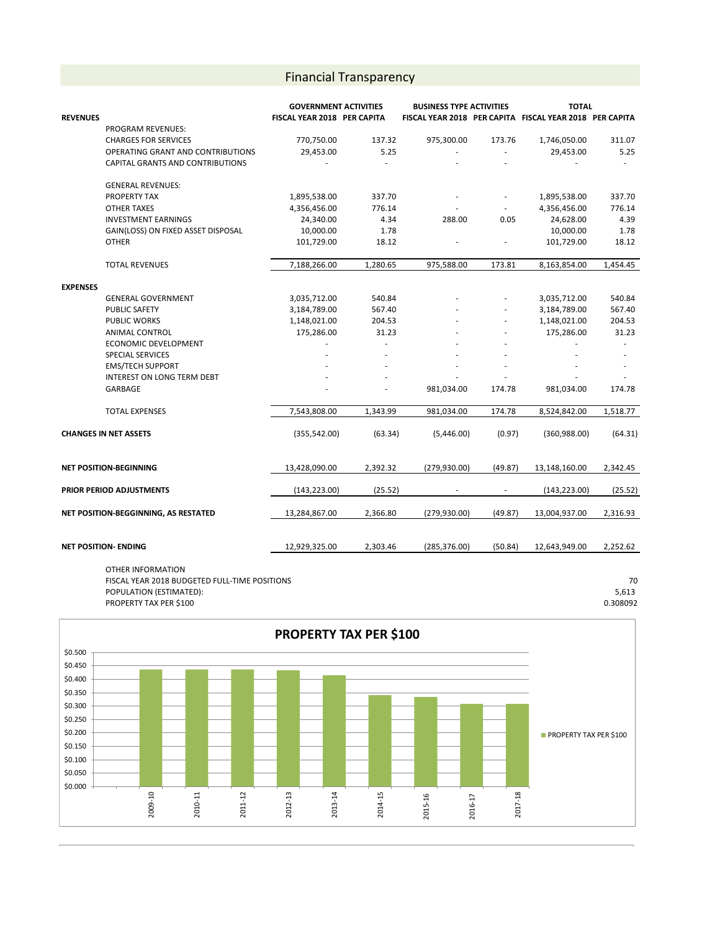## Financial Transparency

|                          |                                      | <b>GOVERNMENT ACTIVITIES</b> |          | <b>BUSINESS TYPE ACTIVITIES</b> |                          | <b>TOTAL</b>                                            |          |
|--------------------------|--------------------------------------|------------------------------|----------|---------------------------------|--------------------------|---------------------------------------------------------|----------|
| <b>REVENUES</b>          |                                      | FISCAL YEAR 2018 PER CAPITA  |          |                                 |                          | FISCAL YEAR 2018 PER CAPITA FISCAL YEAR 2018 PER CAPITA |          |
|                          | <b>PROGRAM REVENUES:</b>             |                              |          |                                 |                          |                                                         |          |
|                          | <b>CHARGES FOR SERVICES</b>          | 770,750.00                   | 137.32   | 975,300.00                      | 173.76                   | 1,746,050.00                                            | 311.07   |
|                          | OPERATING GRANT AND CONTRIBUTIONS    | 29,453.00                    | 5.25     | ÷,                              |                          | 29,453.00                                               | 5.25     |
|                          | CAPITAL GRANTS AND CONTRIBUTIONS     |                              |          |                                 |                          |                                                         |          |
|                          | <b>GENERAL REVENUES:</b>             |                              |          |                                 |                          |                                                         |          |
|                          | PROPERTY TAX                         | 1,895,538.00                 | 337.70   |                                 | $\overline{\phantom{a}}$ | 1,895,538.00                                            | 337.70   |
|                          | <b>OTHER TAXES</b>                   | 4,356,456.00                 | 776.14   |                                 |                          | 4,356,456.00                                            | 776.14   |
|                          | <b>INVESTMENT EARNINGS</b>           | 24,340.00                    | 4.34     | 288.00                          | 0.05                     | 24,628.00                                               | 4.39     |
|                          | GAIN(LOSS) ON FIXED ASSET DISPOSAL   | 10,000.00                    | 1.78     |                                 |                          | 10,000.00                                               | 1.78     |
|                          | <b>OTHER</b>                         | 101,729.00                   | 18.12    |                                 |                          | 101,729.00                                              | 18.12    |
|                          | <b>TOTAL REVENUES</b>                | 7,188,266.00                 | 1,280.65 | 975,588.00                      | 173.81                   | 8,163,854.00                                            | 1,454.45 |
| <b>EXPENSES</b>          |                                      |                              |          |                                 |                          |                                                         |          |
|                          | <b>GENERAL GOVERNMENT</b>            | 3,035,712.00                 | 540.84   |                                 |                          | 3,035,712.00                                            | 540.84   |
|                          | <b>PUBLIC SAFETY</b>                 | 3,184,789.00                 | 567.40   |                                 |                          | 3,184,789.00                                            | 567.40   |
|                          | <b>PUBLIC WORKS</b>                  | 1,148,021.00                 | 204.53   |                                 |                          | 1,148,021.00                                            | 204.53   |
|                          | ANIMAL CONTROL                       | 175,286.00                   | 31.23    |                                 |                          | 175,286.00                                              | 31.23    |
|                          | ECONOMIC DEVELOPMENT                 |                              | L.       |                                 |                          | ÷.                                                      | $\sim$   |
|                          | SPECIAL SERVICES                     |                              |          |                                 |                          |                                                         |          |
|                          | <b>EMS/TECH SUPPORT</b>              |                              |          |                                 |                          |                                                         |          |
|                          | <b>INTEREST ON LONG TERM DEBT</b>    |                              |          |                                 |                          |                                                         |          |
|                          | GARBAGE                              |                              |          | 981,034.00                      | 174.78                   | 981,034.00                                              | 174.78   |
|                          | <b>TOTAL EXPENSES</b>                | 7,543,808.00                 | 1,343.99 | 981,034.00                      | 174.78                   | 8,524,842.00                                            | 1,518.77 |
|                          |                                      |                              |          |                                 |                          |                                                         |          |
|                          | <b>CHANGES IN NET ASSETS</b>         | (355, 542.00)                | (63.34)  | (5,446.00)                      | (0.97)                   | (360, 988.00)                                           | (64.31)  |
|                          | <b>NET POSITION-BEGINNING</b>        | 13,428,090.00                | 2,392.32 | (279, 930.00)                   | (49.87)                  | 13,148,160.00                                           | 2,342.45 |
| PRIOR PERIOD ADJUSTMENTS |                                      |                              | (25.52)  |                                 | $\overline{\phantom{a}}$ |                                                         |          |
|                          |                                      | (143, 223.00)                |          |                                 |                          | (143, 223.00)                                           | (25.52)  |
|                          | NET POSITION-BEGGINNING, AS RESTATED | 13,284,867.00                | 2,366.80 | (279, 930.00)                   | (49.87)                  | 13,004,937.00                                           | 2,316.93 |
|                          |                                      |                              |          |                                 |                          |                                                         |          |
|                          | <b>NET POSITION- ENDING</b>          | 12,929,325.00                | 2,303.46 | (285, 376.00)                   | (50.84)                  | 12,643,949.00                                           | 2,252.62 |
|                          | OTHER INFORMATION                    |                              |          |                                 |                          |                                                         |          |

FISCAL YEAR 2018 BUDGETED FULL-TIME POSITIONS 70 POPULATION (ESTIMATED): 5,613 PROPERTY TAX PER \$100